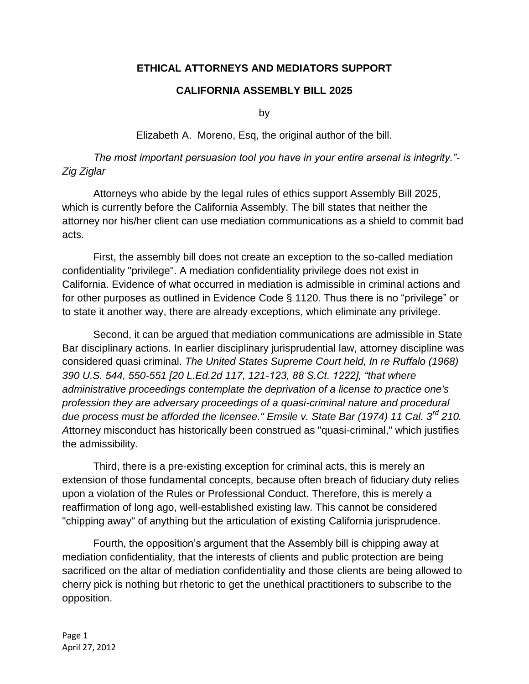## **ETHICAL ATTORNEYS AND MEDIATORS SUPPORT**

## **CALIFORNIA ASSEMBLY BILL 2025**

by

Elizabeth A. Moreno, Esq, the original author of the bill.

*The most important persuasion tool you have in your entire arsenal is integrity."- Zig Ziglar* 

Attorneys who abide by the legal rules of ethics support Assembly Bill 2025, which is currently before the California Assembly. The bill states that neither the attorney nor his/her client can use mediation communications as a shield to commit bad acts.

First, the assembly bill does not create an exception to the so-called mediation confidentiality "privilege". A mediation confidentiality privilege does not exist in California. Evidence of what occurred in mediation is admissible in criminal actions and for other purposes as outlined in Evidence Code § 1120. Thus there is no "privilege" or to state it another way, there are already exceptions, which eliminate any privilege.

Second, it can be argued that mediation communications are admissible in State Bar disciplinary actions. In earlier disciplinary jurisprudential law, attorney discipline was considered quasi criminal. *The United States Supreme Court held, In re Ruffalo (1968) 390 U.S. 544, 550-551 [20 L.Ed.2d 117, 121-123, 88 S.Ct. 1222], "that where administrative proceedings contemplate the deprivation of a license to practice one's profession they are adversary proceedings of a quasi-criminal nature and procedural due process must be afforded the licensee." Emsile v. State Bar (1974) 11 Cal. 3rd 210. A*ttorney misconduct has historically been construed as "quasi-criminal," which justifies the admissibility.

Third, there is a pre-existing exception for criminal acts, this is merely an extension of those fundamental concepts, because often breach of fiduciary duty relies upon a violation of the Rules or Professional Conduct. Therefore, this is merely a reaffirmation of long ago, well-established existing law. This cannot be considered "chipping away" of anything but the articulation of existing California jurisprudence.

Fourth, the opposition's argument that the Assembly bill is chipping away at mediation confidentiality, that the interests of clients and public protection are being sacrificed on the altar of mediation confidentiality and those clients are being allowed to cherry pick is nothing but rhetoric to get the unethical practitioners to subscribe to the opposition.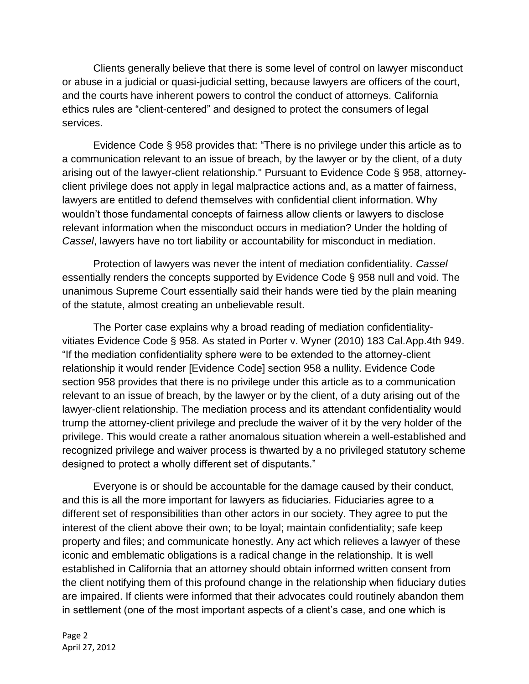Clients generally believe that there is some level of control on lawyer misconduct or abuse in a judicial or quasi-judicial setting, because lawyers are officers of the court, and the courts have inherent powers to control the conduct of attorneys. California ethics rules are "client-centered" and designed to protect the consumers of legal services.

Evidence Code § 958 provides that: "There is no privilege under this article as to a communication relevant to an issue of breach, by the lawyer or by the client, of a duty arising out of the lawyer-client relationship." Pursuant to Evidence Code § 958, attorneyclient privilege does not apply in legal malpractice actions and, as a matter of fairness, lawyers are entitled to defend themselves with confidential client information. Why wouldn't those fundamental concepts of fairness allow clients or lawyers to disclose relevant information when the misconduct occurs in mediation? Under the holding of *Cassel*, lawyers have no tort liability or accountability for misconduct in mediation.

Protection of lawyers was never the intent of mediation confidentiality. *Cassel* essentially renders the concepts supported by Evidence Code § 958 null and void. The unanimous Supreme Court essentially said their hands were tied by the plain meaning of the statute, almost creating an unbelievable result.

The Porter case explains why a broad reading of mediation confidentialityvitiates Evidence Code § 958. As stated in Porter v. Wyner (2010) 183 Cal.App.4th 949. "If the mediation confidentiality sphere were to be extended to the attorney-client relationship it would render [Evidence Code] section 958 a nullity. Evidence Code section 958 provides that there is no privilege under this article as to a communication relevant to an issue of breach, by the lawyer or by the client, of a duty arising out of the lawyer-client relationship. The mediation process and its attendant confidentiality would trump the attorney-client privilege and preclude the waiver of it by the very holder of the privilege. This would create a rather anomalous situation wherein a well-established and recognized privilege and waiver process is thwarted by a no privileged statutory scheme designed to protect a wholly different set of disputants."

Everyone is or should be accountable for the damage caused by their conduct, and this is all the more important for lawyers as fiduciaries. Fiduciaries agree to a different set of responsibilities than other actors in our society. They agree to put the interest of the client above their own; to be loyal; maintain confidentiality; safe keep property and files; and communicate honestly. Any act which relieves a lawyer of these iconic and emblematic obligations is a radical change in the relationship. It is well established in California that an attorney should obtain informed written consent from the client notifying them of this profound change in the relationship when fiduciary duties are impaired. If clients were informed that their advocates could routinely abandon them in settlement (one of the most important aspects of a client's case, and one which is

Page 2 April 27, 2012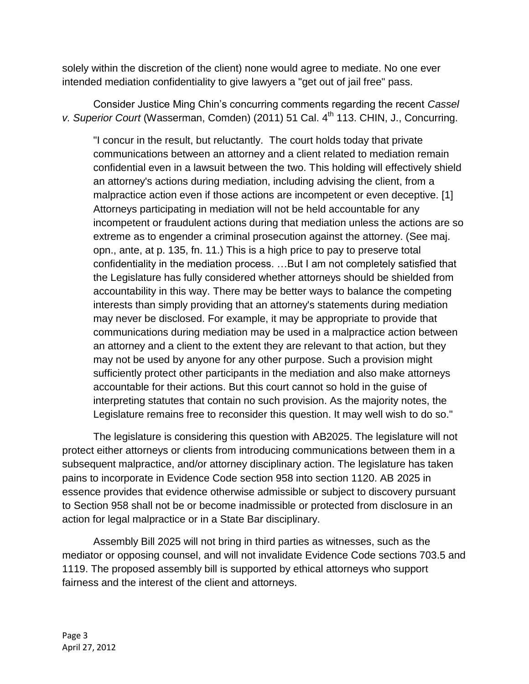solely within the discretion of the client) none would agree to mediate. No one ever intended mediation confidentiality to give lawyers a "get out of jail free" pass.

Consider Justice Ming Chin's concurring comments regarding the recent *Cassel v. Superior Court* (Wasserman, Comden) (2011) 51 Cal. 4<sup>th</sup> 113. CHIN, J., Concurring.

"I concur in the result, but reluctantly. The court holds today that private communications between an attorney and a client related to mediation remain confidential even in a lawsuit between the two. This holding will effectively shield an attorney's actions during mediation, including advising the client, from a malpractice action even if those actions are incompetent or even deceptive. [1] Attorneys participating in mediation will not be held accountable for any incompetent or fraudulent actions during that mediation unless the actions are so extreme as to engender a criminal prosecution against the attorney. (See maj. opn., ante, at p. 135, fn. 11.) This is a high price to pay to preserve total confidentiality in the mediation process. …But I am not completely satisfied that the Legislature has fully considered whether attorneys should be shielded from accountability in this way. There may be better ways to balance the competing interests than simply providing that an attorney's statements during mediation may never be disclosed. For example, it may be appropriate to provide that communications during mediation may be used in a malpractice action between an attorney and a client to the extent they are relevant to that action, but they may not be used by anyone for any other purpose. Such a provision might sufficiently protect other participants in the mediation and also make attorneys accountable for their actions. But this court cannot so hold in the guise of interpreting statutes that contain no such provision. As the majority notes, the Legislature remains free to reconsider this question. It may well wish to do so."

The legislature is considering this question with AB2025. The legislature will not protect either attorneys or clients from introducing communications between them in a subsequent malpractice, and/or attorney disciplinary action. The legislature has taken pains to incorporate in Evidence Code section 958 into section 1120. AB 2025 in essence provides that evidence otherwise admissible or subject to discovery pursuant to Section 958 shall not be or become inadmissible or protected from disclosure in an action for legal malpractice or in a State Bar disciplinary.

Assembly Bill 2025 will not bring in third parties as witnesses, such as the mediator or opposing counsel, and will not invalidate Evidence Code sections 703.5 and 1119. The proposed assembly bill is supported by ethical attorneys who support fairness and the interest of the client and attorneys.